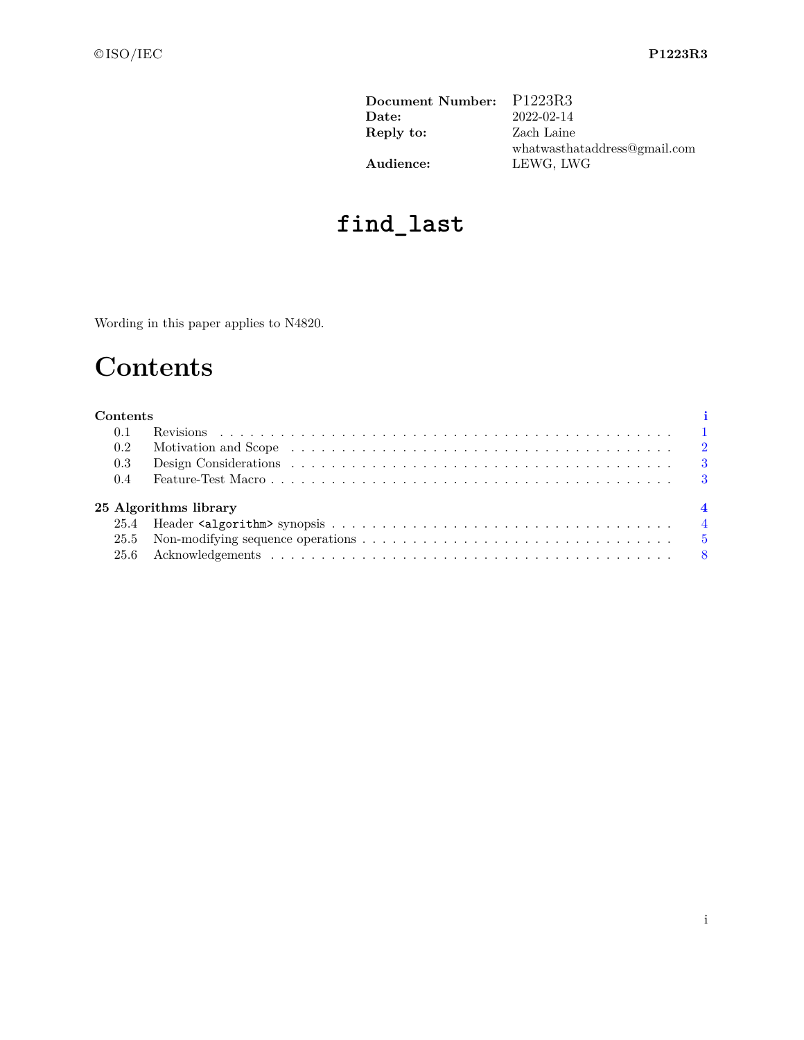| Document Number: P1223R3 |                              |
|--------------------------|------------------------------|
| Date:                    | 2022-02-14                   |
| Reply to:                | Zach Laine                   |
|                          | whatwasthataddress@gmail.com |
| Audience:                | LEWG, LWG                    |

# **find\_last**

<span id="page-0-0"></span>Wording in this paper applies to N4820.

# **Contents**

| Contents |                       |  |
|----------|-----------------------|--|
| 0.1      |                       |  |
| 0.2      |                       |  |
| $0.3\,$  |                       |  |
| $0.4\,$  |                       |  |
|          | 25 Algorithms library |  |
|          |                       |  |
|          |                       |  |
|          |                       |  |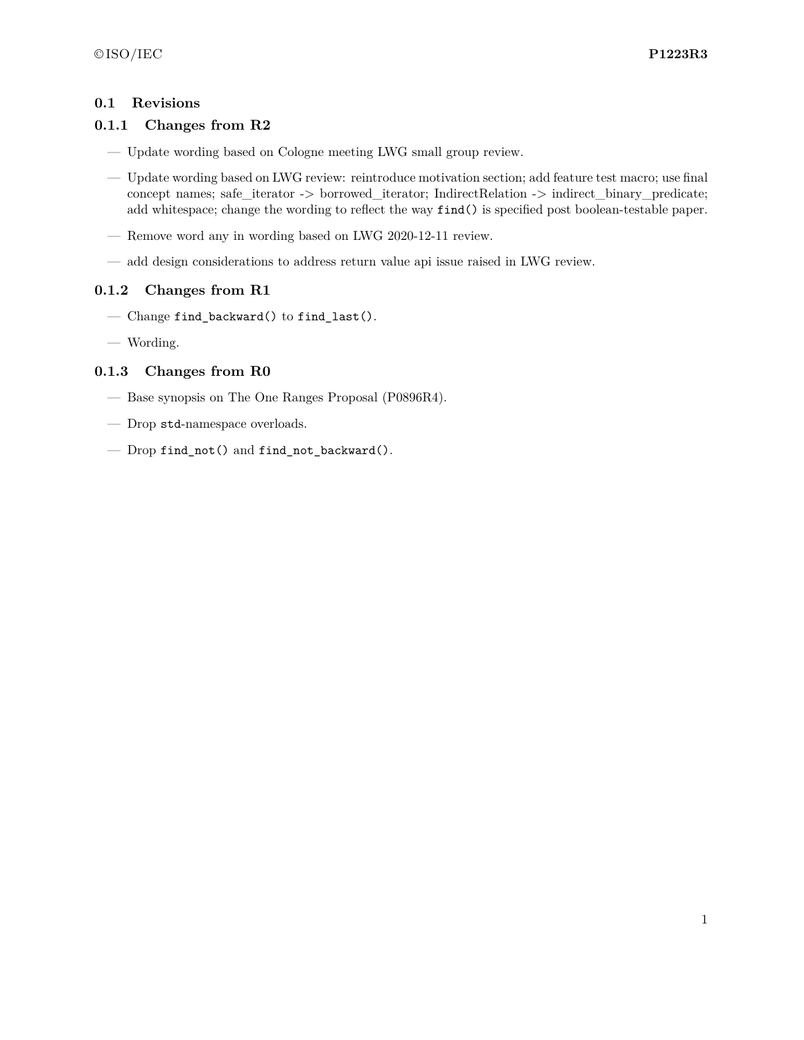#### <span id="page-1-0"></span>**0.1 Revisions**

#### **0.1.1 Changes from R2**

- Update wording based on Cologne meeting LWG small group review.
- Update wording based on LWG review: reintroduce motivation section; add feature test macro; use final concept names; safe\_iterator -> borrowed\_iterator; IndirectRelation -> indirect\_binary\_predicate; add whitespace; change the wording to reflect the way find() is specified post boolean-testable paper.
- Remove word any in wording based on LWG 2020-12-11 review.
- add design considerations to address return value api issue raised in LWG review.

### **0.1.2 Changes from R1**

- Change find\_backward() to find\_last().
- Wording.

#### **0.1.3 Changes from R0**

- Base synopsis on The One Ranges Proposal (P0896R4).
- Drop std-namespace overloads.
- Drop find\_not() and find\_not\_backward().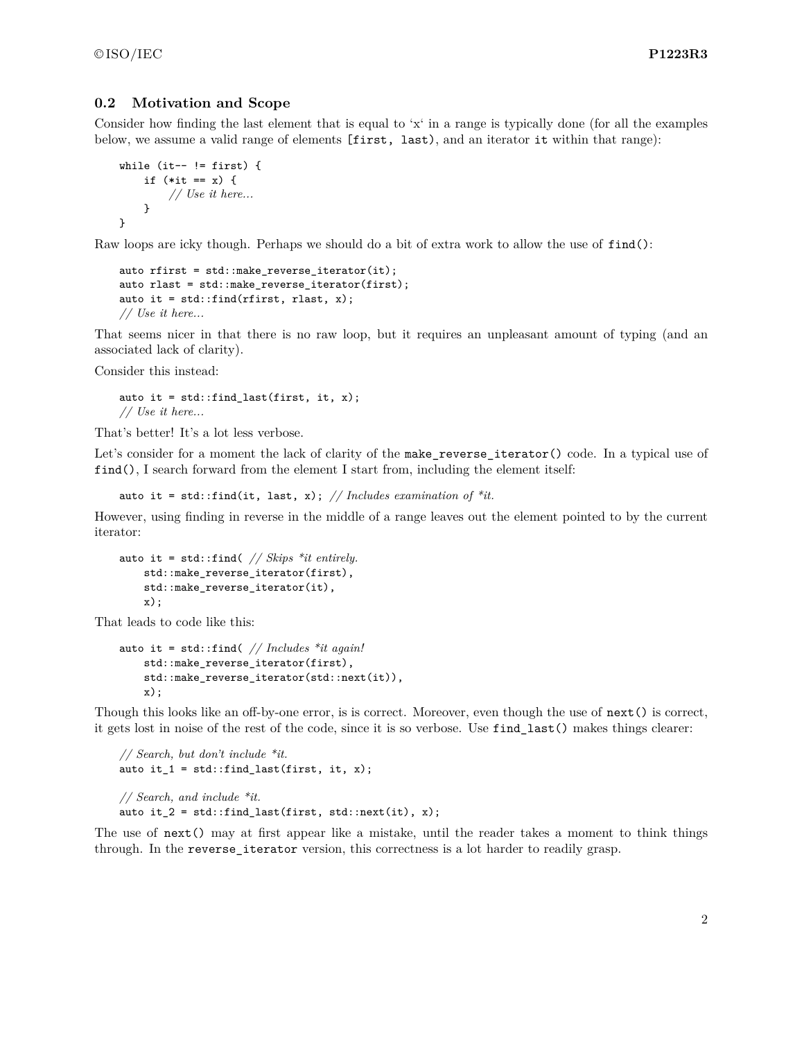#### <span id="page-2-0"></span>**0.2 Motivation and Scope**

Consider how finding the last element that is equal to 'x' in a range is typically done (for all the examples below, we assume a valid range of elements [first, last), and an iterator it within that range):

```
while (it-- != first) {
    if (*it == x) {
        // Use it here...
    }
}
```
Raw loops are icky though. Perhaps we should do a bit of extra work to allow the use of find():

```
auto rfirst = std::make_reverse_iterator(it);
auto rlast = std::make_reverse_iterator(first);
auto it = std::find(rfirst, rlast, x);// Use it here...
```
That seems nicer in that there is no raw loop, but it requires an unpleasant amount of typing (and an associated lack of clarity).

Consider this instead:

auto it =  $std::find\_last(first, it, x);$ *// Use it here...*

That's better! It's a lot less verbose.

Let's consider for a moment the lack of clarity of the make\_reverse\_iterator() code. In a typical use of find(), I search forward from the element I start from, including the element itself:

auto it = std::find(it, last, x); // Includes examination of  $*it$ .

However, using finding in reverse in the middle of a range leaves out the element pointed to by the current iterator:

```
auto it = std::find( // Skips *it entirely.
    std::make reverse iterator(first),
    std::make_reverse_iterator(it),
    x);
```
That leads to code like this:

```
auto it = std::find( // Includes *it again!
    std::make_reverse_iterator(first),
    std::make_reverse_iterator(std::next(it)),
    x);
```
Though this looks like an off-by-one error, is is correct. Moreover, even though the use of next() is correct, it gets lost in noise of the rest of the code, since it is so verbose. Use find\_last() makes things clearer:

```
// Search, but don't include *it.
auto it_1 = std::find\_last(first, it, x);// Search, and include *it.
auto it 2 = std::find last(first, std::next(it), x);
```
The use of next() may at first appear like a mistake, until the reader takes a moment to think things through. In the reverse iterator version, this correctness is a lot harder to readily grasp.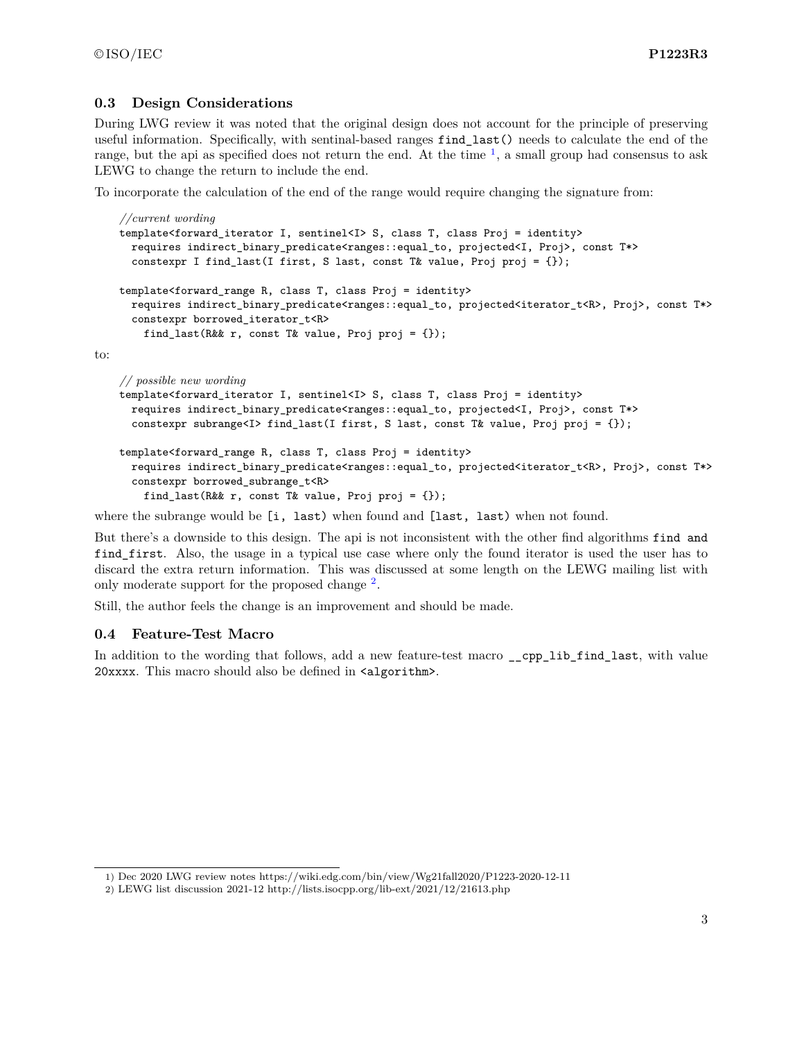to:

#### <span id="page-3-0"></span>**0.3 Design Considerations**

During LWG review it was noted that the original design does not account for the principle of preserving useful information. Specifically, with sentinal-based ranges find\_last() needs to calculate the end of the range, but the api as specified does not return the end. At the time  $\frac{1}{2}$  $\frac{1}{2}$  $\frac{1}{2}$ , a small group had consensus to ask LEWG to change the return to include the end.

To incorporate the calculation of the end of the range would require changing the signature from:

```
//current wording
template<forward_iterator I, sentinel<I> S, class T, class Proj = identity>
 requires indirect_binary_predicate<ranges::equal_to, projected<I, Proj>, const T*>
  constexpr I find_last(I first, S last, const T& value, Proj proj = \{\});
template<forward_range R, class T, class Proj = identity>
 requires indirect_binary_predicate<ranges::equal_to, projected<iterator_t<R>, Proj>, const T*>
 constexpr borrowed_iterator_t<R>
    find_last(R&& r, const T& value, Proj proj = {});
// possible new wording
template<forward_iterator I, sentinel<I> S, class T, class Proj = identity>
 requires indirect_binary_predicate<ranges::equal_to, projected<I, Proj>, const T*>
  constexpr subrange<I> find_last(I first, S last, const T& value, Proj proj = {});
```

```
template<forward_range R, class T, class Proj = identity>
 requires indirect_binary_predicate<ranges::equal_to, projected<iterator_t<R>, Proj>, const T*>
  constexpr borrowed_subrange_t<R>
    find_last(R&& r, const T& value, Proj proj = \{\});
```
where the subrange would be [i, last) when found and [last, last) when not found.

But there's a downside to this design. The api is not inconsistent with the other find algorithms find and find\_first. Also, the usage in a typical use case where only the found iterator is used the user has to discard the extra return information. This was discussed at some length on the LEWG mailing list with only moderate support for the proposed change <sup>[2](#page-3-3)</sup>.

Still, the author feels the change is an improvement and should be made.

#### <span id="page-3-1"></span>**0.4 Feature-Test Macro**

In addition to the wording that follows, add a new feature-test macro \_\_cpp\_lib\_find\_last, with value 20xxxx. This macro should also be defined in <algorithm>.

<span id="page-3-2"></span><sup>1)</sup> Dec 2020 LWG review notes https://wiki.edg.com/bin/view/Wg21fall2020/P1223-2020-12-11

<span id="page-3-3"></span><sup>2)</sup> LEWG list discussion 2021-12 http://lists.isocpp.org/lib-ext/2021/12/21613.php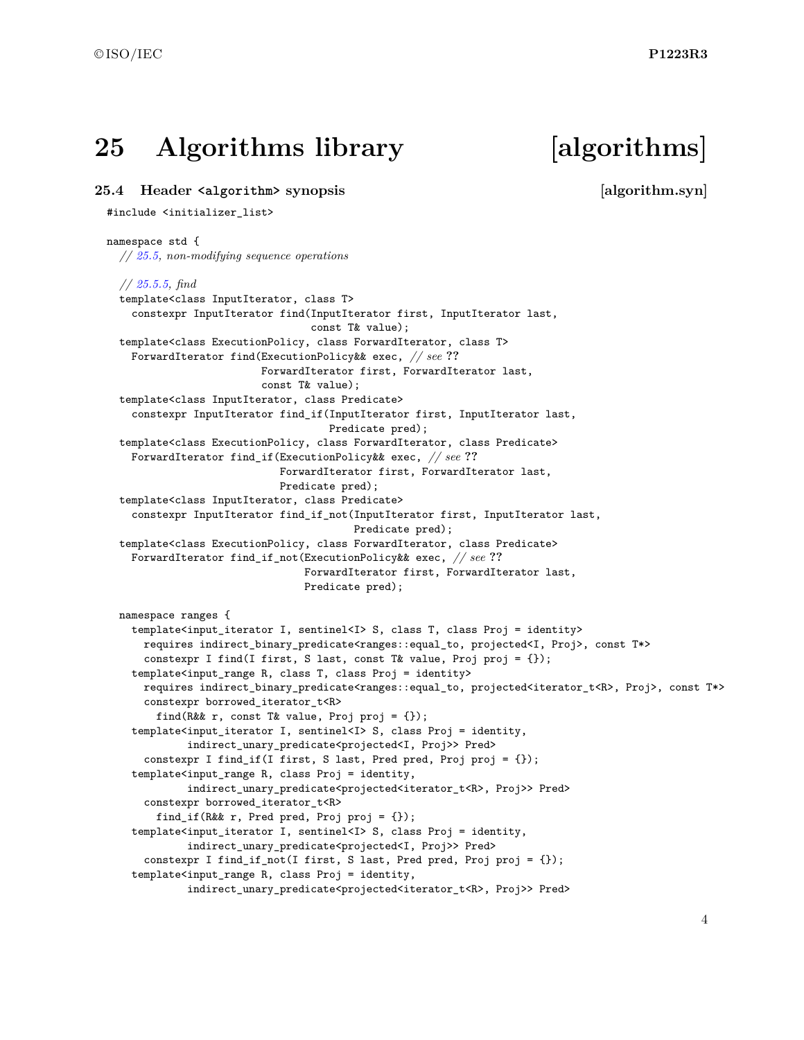## <span id="page-4-0"></span>**25 Algorithms library [algorithms]**

#### <span id="page-4-1"></span>**25.4 Header <algorithm> synopsis [algorithm.syn]**

#### #include <initializer\_list>

#### namespace std { *// [25.5,](#page-5-0) non-modifying sequence operations // [25.5.5,](#page-5-1) find* template<class InputIterator, class T> constexpr InputIterator find(InputIterator first, InputIterator last, const T& value); template<class ExecutionPolicy, class ForwardIterator, class T> ForwardIterator find(ExecutionPolicy&& exec, *// see* **??** ForwardIterator first, ForwardIterator last, const T& value); template<class InputIterator, class Predicate> constexpr InputIterator find\_if(InputIterator first, InputIterator last, Predicate pred); template<class ExecutionPolicy, class ForwardIterator, class Predicate> ForwardIterator find\_if(ExecutionPolicy&& exec, *// see* **??** ForwardIterator first, ForwardIterator last, Predicate pred); template<class InputIterator, class Predicate> constexpr InputIterator find\_if\_not(InputIterator first, InputIterator last, Predicate pred); template<class ExecutionPolicy, class ForwardIterator, class Predicate> ForwardIterator find\_if\_not(ExecutionPolicy&& exec, *// see* **??** ForwardIterator first, ForwardIterator last, Predicate pred); namespace ranges { template<input\_iterator I, sentinel<I> S, class T, class Proj = identity> requires indirect\_binary\_predicate<ranges::equal\_to, projected<I, Proj>, const T\*> constexpr I find(I first, S last, const T& value, Proj proj = {}); template<input\_range R, class T, class Proj = identity> requires indirect\_binary\_predicate<ranges::equal\_to, projected<iterator\_t<R>, Proj>, const T\*> constexpr borrowed\_iterator\_t<R> find(R&& r, const T& value, Proj proj =  $\{\})$ ; template<input\_iterator I, sentinel<I> S, class Proj = identity, indirect\_unary\_predicate<projected<I, Proj>> Pred> constexpr I find\_if(I first, S last, Pred pred, Proj proj = {}); template<input\_range R, class Proj = identity, indirect\_unary\_predicate<projected<iterator\_t<R>, Proj>> Pred> constexpr borrowed\_iterator\_t<R> find\_if(R&& r, Pred pred, Proj proj = {}); template<input\_iterator I, sentinel<I> S, class Proj = identity, indirect\_unary\_predicate<projected<I, Proj>> Pred> constexpr I find\_if\_not(I first, S last, Pred pred, Proj proj = {}); template<input\_range R, class Proj = identity, indirect\_unary\_predicate<projected<iterator\_t<R>, Proj>> Pred>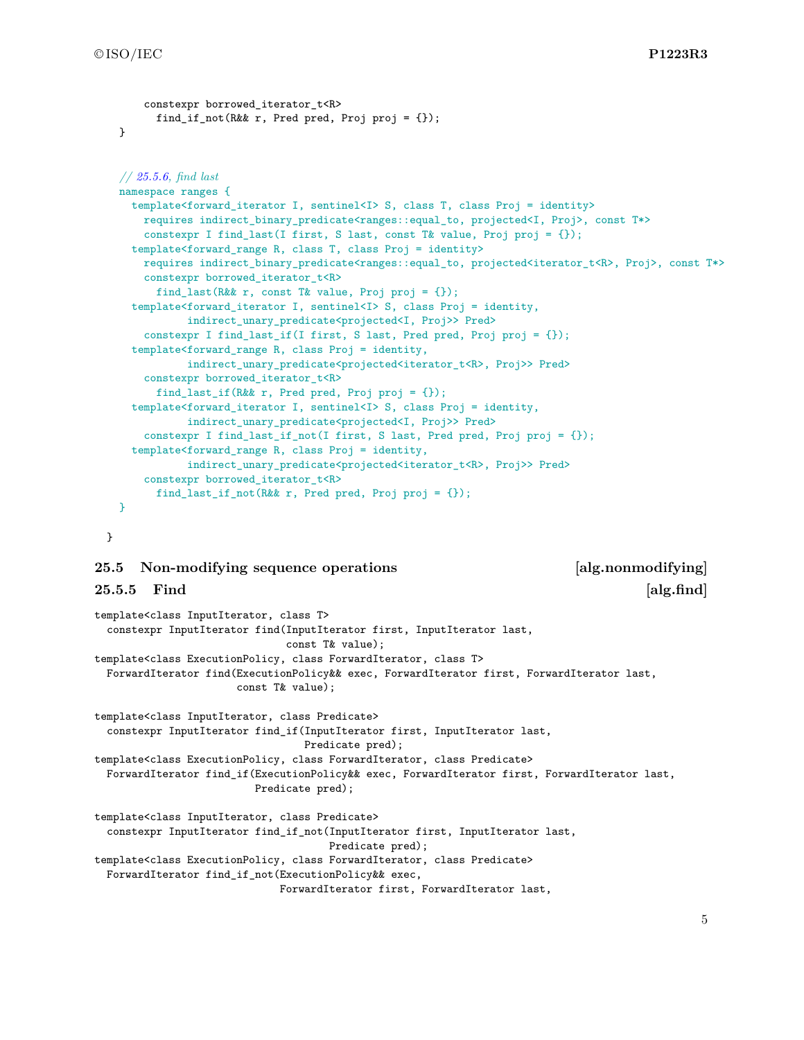```
constexpr borrowed iterator t<R>
      find_if_not(R&& r, Pred pred, Proj proj = {});
}
// 25.5.6, find last
namespace ranges {
 template<forward_iterator I, sentinel<I> S, class T, class Proj = identity>
    requires indirect_binary_predicate<ranges::equal_to, projected<I, Proj>, const T*>
    constexpr I find_last(I first, S last, const T& value, Proj proj = {});
  template<forward_range R, class T, class Proj = identity>
    requires indirect_binary_predicate<ranges::equal_to, projected<iterator_t<R>, Proj>, const T*>
    constexpr borrowed iterator t < Rfind_last(R&& r, const T& value, Proj proj = {});
  template<forward_iterator I, sentinel<I> S, class Proj = identity,
           indirect_unary_predicate<projected<I, Proj>> Pred>
    constexpr I find last if(I first, S last, Pred pred, Proj proj = \{\});
  template<forward_range R, class Proj = identity,
           indirect_unary_predicate<projected<iterator_t<R>, Proj>> Pred>
    constexpr borrowed iterator t<R>
     find_last_if(R&& r, Pred pred, Proj proj = {});
  template<forward_iterator I, sentinel<I> S, class Proj = identity,
           indirect_unary_predicate<projected<I, Proj>> Pred>
    constexpr I find_last_if_not(I first, S last, Pred pred, Proj proj = {});
  template<forward_range R, class Proj = identity,
           indirect unary predicate<projected<iterator t<R>, Proj>> Pred>
    constexpr borrowed_iterator_t<R>
      find_last_if_not(R&& r, Pred pred, Proj proj = {});
}
```
}

#### <span id="page-5-0"></span>**25.5 Non-modifying sequence operations [alg.nonmodifying]**

#### <span id="page-5-1"></span>**25.5.5 Find**  [alg.find]

```
template<class InputIterator, class T>
 constexpr InputIterator find(InputIterator first, InputIterator last,
                               const T& value);
template<class ExecutionPolicy, class ForwardIterator, class T>
 ForwardIterator find(ExecutionPolicy&& exec, ForwardIterator first, ForwardIterator last,
                       const T& value);
template<class InputIterator, class Predicate>
  constexpr InputIterator find_if(InputIterator first, InputIterator last,
                                  Predicate pred);
template<class ExecutionPolicy, class ForwardIterator, class Predicate>
 ForwardIterator find_if(ExecutionPolicy&& exec, ForwardIterator first, ForwardIterator last,
                          Predicate pred);
template<class InputIterator, class Predicate>
  constexpr InputIterator find_if_not(InputIterator first, InputIterator last,
                                      Predicate pred);
template<class ExecutionPolicy, class ForwardIterator, class Predicate>
 ForwardIterator find_if_not(ExecutionPolicy&& exec,
                              ForwardIterator first, ForwardIterator last,
```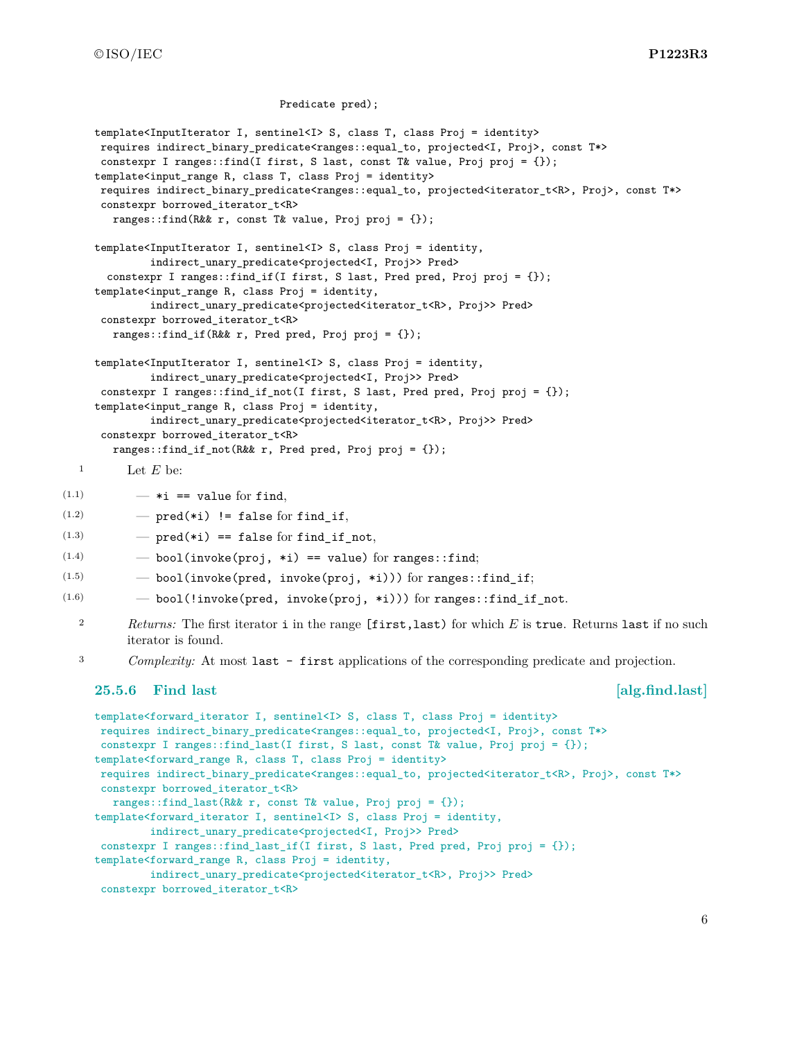©ISO/IEC **P1223R3**

```
Predicate pred);
     template<InputIterator I, sentinel<I> S, class T, class Proj = identity>
     requires indirect_binary_predicate<ranges::equal_to, projected<I, Proj>, const T*>
     constexpr I ranges::find(I first, S last, const T& value, Proj proj = {});
     template<input_range R, class T, class Proj = identity>
     requires indirect_binary_predicate<ranges::equal_to, projected<iterator_t<R>, Proj>, const T*>
     constexpr borrowed iterator t<R>
       ranges::find(R&& r, const T& value, Proj proj = {});
     template<InputIterator I, sentinel<I> S, class Proj = identity,
             indirect_unary_predicate<projected<I, Proj>> Pred>
       constexpr I ranges::find_if(I first, S last, Pred pred, Proj proj = {});
     template<input_range R, class Proj = identity,
             indirect_unary_predicate<projected<iterator_t<R>, Proj>> Pred>
     constexpr borrowed_iterator_t<R>
       ranges::find_if(R&& r, Pred pred, Proj proj = {});
     template<InputIterator I, sentinel<I> S, class Proj = identity,
             indirect_unary_predicate<projected<I, Proj>> Pred>
     constexpr I ranges::find_if_not(I first, S last, Pred pred, Proj proj = \{\});
     template<input_range R, class Proj = identity,
             indirect_unary_predicate<projected<iterator_t<R>, Proj>> Pred>
     constexpr borrowed_iterator_t<R>
       ranges::find_if_not(R&& r, Pred pred, Proj proj = {});
  1 Let E be:
(1.1) - *i == value for find,(1.2) - pred(*i) != false for find_if,
(1.3) - pred(*i) == false for find_if_not,
(1.4) - bool(invoke(proj, *i) == value) for ranges::find;
(1.5) - bool(invoke(pred, invoke(proj, *i))) for ranges::find_if;
(1.6) - bool(!invoke(pred, invoke(proj, *i))) for ranges::find_if_not.
  2 Returns: The first iterator i in the range [first,last) for which E is true. Returns last if no such
          iterator is found.
  3 Complexity: At most last - first applications of the corresponding predicate and projection.
     25.5.6 Find last [alg.find.last]
     template<forward_iterator I, sentinel<I> S, class T, class Proj = identity>
     requires indirect_binary_predicate<ranges::equal_to, projected<I, Proj>, const T*>
     constexpr I ranges::find_last(I first, S last, const T& value, Proj proj = {});
     template<forward_range R, class T, class Proj = identity>
     requires indirect_binary_predicate<ranges::equal_to, projected<iterator_t<R>, Proj>, const T*>
     constexpr borrowed_iterator_t<R>
       ranges::find_last(R&& r, const T& value, Proj proj = {});
     template<forward_iterator I, sentinel<I> S, class Proj = identity,
             indirect_unary_predicate<projected<I, Proj>> Pred>
     constexpr I ranges::find_last_if(I first, S last, Pred pred, Proj proj = {});
```

```
template<forward_range R, class Proj = identity,
```

```
indirect_unary_predicate<projected<iterator_t<R>, Proj>> Pred>
```

```
constexpr borrowed_iterator_t<R>
```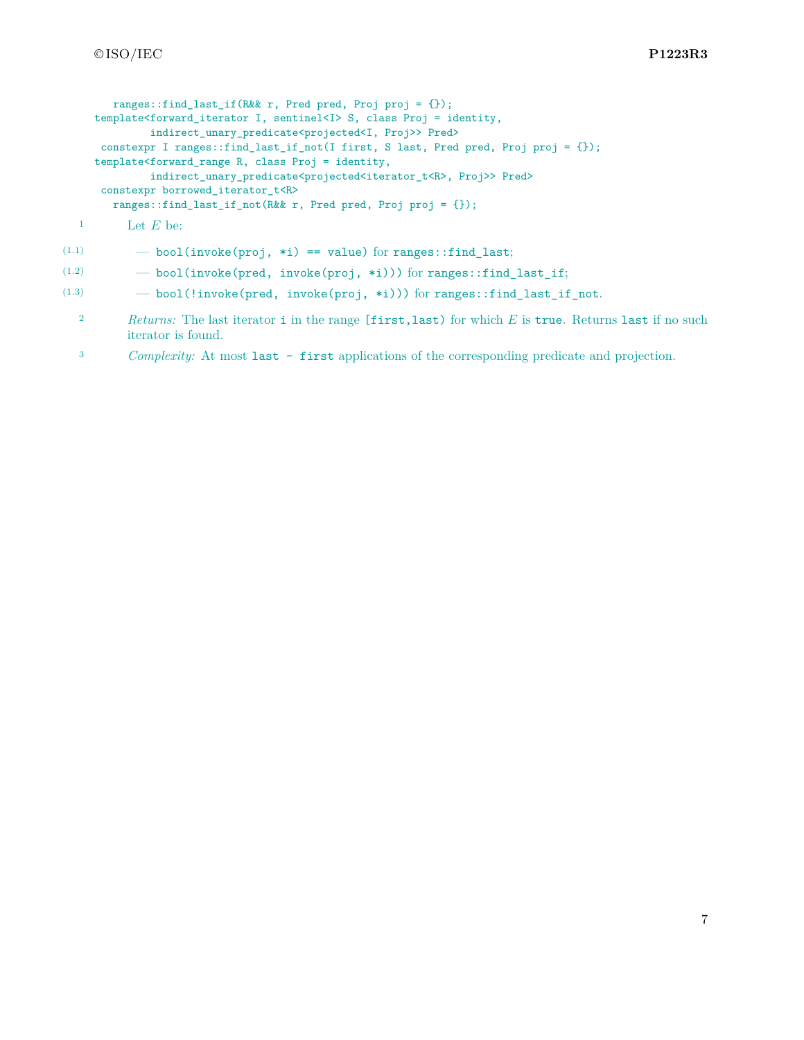```
ranges::find last if(R&& r, Pred pred, Proj proj = {});
template<forward_iterator I, sentinel<I> S, class Proj = identity,
        indirect_unary_predicate<projected<I, Proj>> Pred>
constexpr I ranges::find_last_if_not(I first, S last, Pred pred, Proj proj = {});
template<forward_range R, class Proj = identity,
        indirect_unary_predicate<projected<iterator_t<R>, Proj>> Pred>
constexpr borrowed_iterator_t<R>
  ranges::find_last_if_not(R&& r, Pred pred, Proj proj = {});
```

```
1 Let E be:
```

```
(1.1) - bool(invoke(proj, *i) == value) for ranges::find_last;
```
 $(1.2)$   $-$  bool(invoke(pred, invoke(proj, \*i))) for ranges::find\_last\_if;

```
(1.3) - bool(!invoke(pred, invoke(proj, *i))) for ranges::find last if not.
```
- <sup>2</sup> *Returns:* The last iterator i in the range [first,last) for which *E* is true. Returns last if no such iterator is found.
- <sup>3</sup> *Complexity:* At most last first applications of the corresponding predicate and projection.